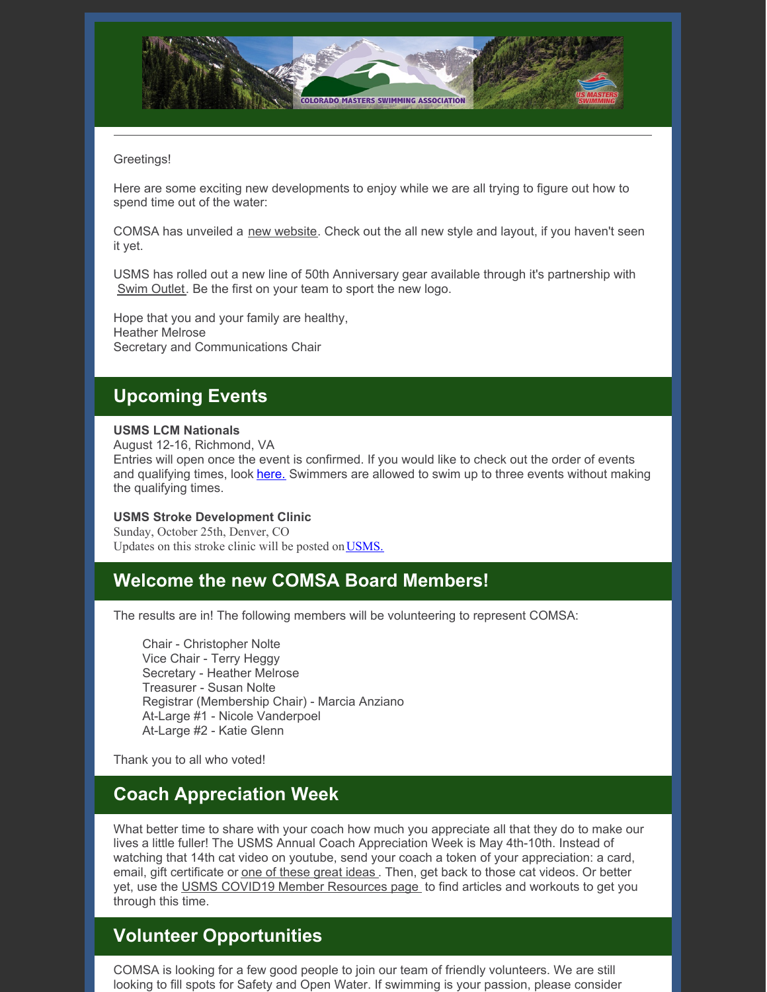

### Greetings!

Here are some exciting new developments to enjoy while we are all trying to figure out how to spend time out of the water:

COMSA has unveiled a new [website](http://www.comsa.org). Check out the all new style and layout, if you haven't seen it yet.

USMS has rolled out a new line of 50th Anniversary gear available through it's partnership with Swim [Outlet](https://www.swimoutlet.com/u.s.-masters-swimming/#page=1&catlvl=0&sortby=Popularity&viewall=no&fea=new_arrivals&allbrand=1766). Be the first on your team to sport the new logo.

Hope that you and your family are healthy, Heather Melrose Secretary and Communications Chair

# **Upcoming Events**

#### **USMS LCM Nationals**

August 12-16, Richmond, VA

Entries will open once the event is confirmed. If you would like to check out the order of events and qualifying times, look [here.](https://www.usms.org/events/national-championships/pool-national-championships/2020-pool-national-championships/2020-summer-national-championship) Swimmers are allowed to swim up to three events without making the qualifying times.

#### **USMS Stroke Development Clinic**

Sunday, October 25th, Denver, CO Updates on this stroke clinic will be posted on[USMS.](https://www.usms.org/events/usms-stroke-development-clinics/usms-stroke-development-clinic-schedule)

### **Welcome the new COMSA Board Members!**

The results are in! The following members will be volunteering to represent COMSA:

Chair - Christopher Nolte Vice Chair - Terry Heggy Secretary - Heather Melrose Treasurer - Susan Nolte Registrar (Membership Chair) - Marcia Anziano At-Large #1 - Nicole Vanderpoel At-Large #2 - Katie Glenn

Thank you to all who voted!

### **Coach Appreciation Week**

What better time to share with your coach how much you appreciate all that they do to make our lives a little fuller! The USMS Annual Coach Appreciation Week is May 4th-10th. Instead of watching that 14th cat video on youtube, send your coach a token of your appreciation: a card, email, gift certificate or <u>one of [these](https://www.usms.org/coach-central/coach-appreciation-week) great ideas</u>. Then, get back to those cat videos. Or better yet, use the USMS COVID19 Member [Resources](https://www.usms.org/about-usms/covid19-information/covid19-member-resources) page to find articles and workouts to get you through this time.

## **Volunteer Opportunities**

COMSA is looking for a few good people to join our team of friendly volunteers. We are still looking to fill spots for Safety and Open Water. If swimming is your passion, please consider